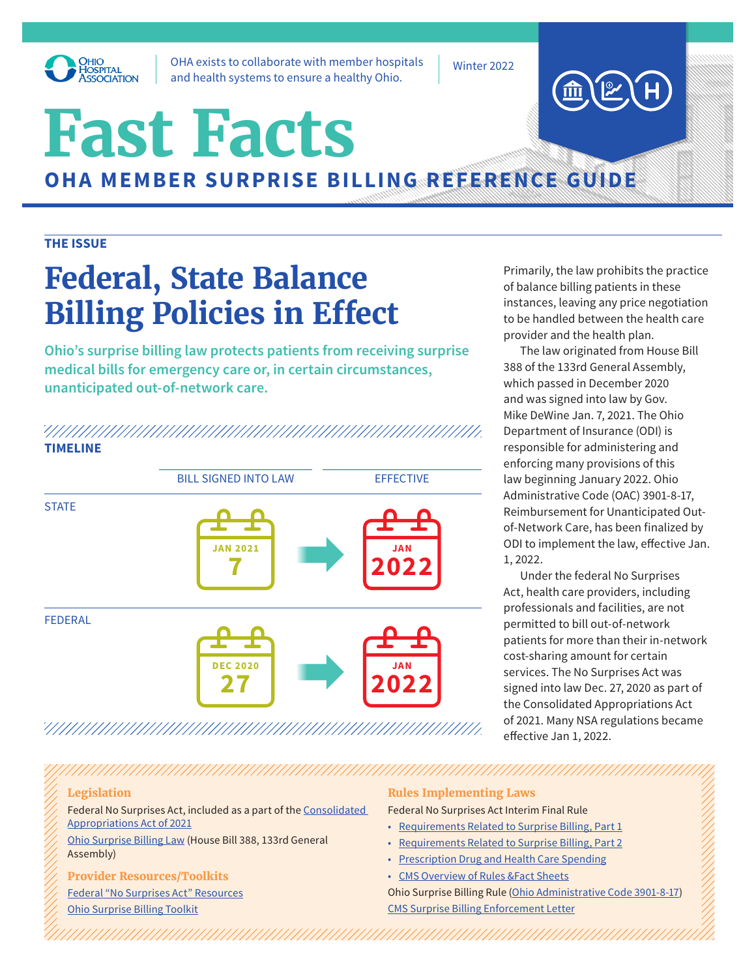

OHA exists to collaborate with member hospitals and health systems to ensure a healthy Ohio.

Winter 2022

# **Fast Facts**

# **OHA MEMBER SURPRISE BILLING REFERENCE GUIDE**

#### **THE ISSUE**

# **Federal, State Balance Billing Policies in Effect**

**Ohio's surprise billing law protects patients from receiving surprise medical bills for emergency care or, in certain circumstances, unanticipated out-of-network care.** 

#### ANNAN MANAMANAN MANAMANAN MANAMAN **TIMELINE**



Primarily, the law prohibits the practice of balance billing patients in these instances, leaving any price negotiation to be handled between the health care provider and the health plan.

The law originated from House Bill 388 of the 133rd General Assembly, which passed in December 2020 and was signed into law by Gov. Mike DeWine Jan. 7, 2021. The Ohio Department of Insurance (ODI) is responsible for administering and enforcing many provisions of this law beginning January 2022. Ohio Administrative Code (OAC) 3901-8-17, Reimbursement for Unanticipated Outof-Network Care, has been finalized by ODI to implement the law, effective Jan. 1, 2022.

Under the federal No Surprises Act, health care providers, including professionals and facilities, are not permitted to bill out-of-network patients for more than their in-network cost-sharing amount for certain services. The No Surprises Act was signed into law Dec. 27, 2020 as part of the Consolidated Appropriations Act of 2021. Many NSA regulations became effective Jan 1, 2022.

#### **Legislation**

- Federal No Surprises Act, included as a part of the Consolidated Appropriations Act of 2021
- Ohio Surprise Billing Law (House Bill 388, 133rd General Assembly)

#### **Provider Resources/Toolkits** Federal "No Surprises Act" Resources Ohio Surprise Billing Toolkit

#### **Rules Implementing Laws**

Federal No Surprises Act Interim Final Rule

- Requirements Related to Surprise Billing, Part 1
- Requirements Related to Surprise Billing, Part 2
- Prescription Drug and Health Care Spending
- CMS Overview of Rules &Fact Sheets

Ohio Surprise Billing Rule (Ohio Administrative Code 3901-8-17) CMS Surprise Billing Enforcement Letter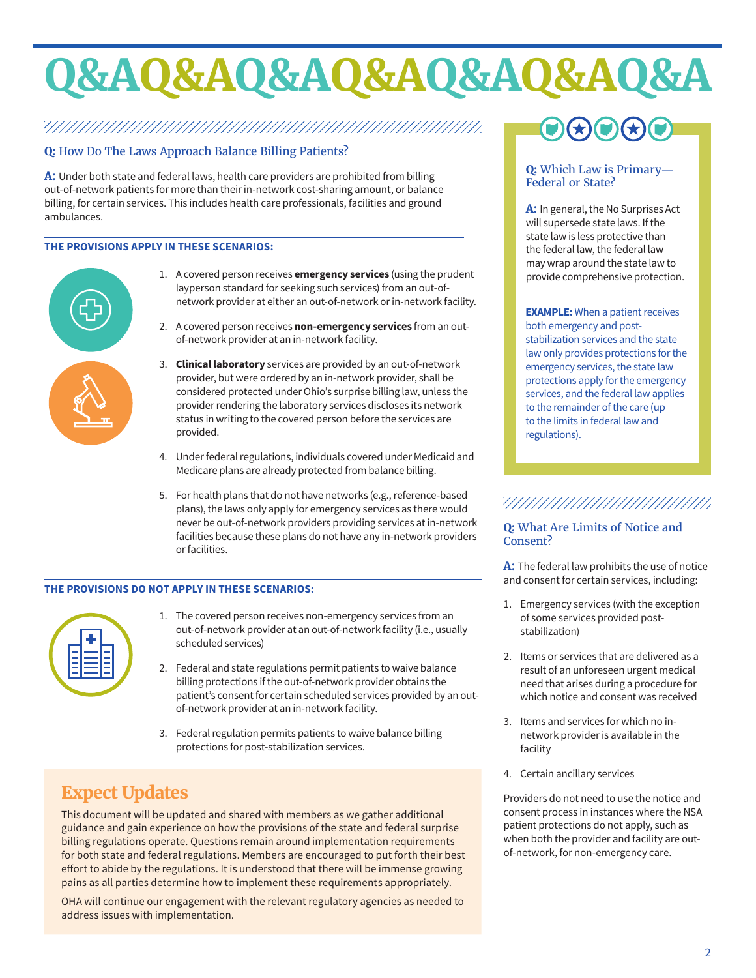# **Q&AQ&AQ&AQ&AQ&AQ&AQ&A**

### 

#### **Q:** How Do The Laws Approach Balance Billing Patients?

**A:** Under both state and federal laws, health care providers are prohibited from billing out-of-network patients for more than their in-network cost-sharing amount, or balance billing, for certain services. This includes health care professionals, facilities and ground ambulances.

#### **THE PROVISIONS APPLY IN THESE SCENARIOS:**



- 1. A covered person receives **emergency services** (using the prudent layperson standard for seeking such services) from an out-ofnetwork provider at either an out-of-network or in-network facility.
- 2. A covered person receives **non-emergency services** from an outof-network provider at an in-network facility.
- 3. **Clinical laboratory** services are provided by an out-of-network provider, but were ordered by an in-network provider, shall be considered protected under Ohio's surprise billing law, unless the provider rendering the laboratory services discloses its network status in writing to the covered person before the services are provided.
- 4. Under federal regulations, individuals covered under Medicaid and Medicare plans are already protected from balance billing.
- 5. For health plans that do not have networks (e.g., reference-based plans), the laws only apply for emergency services as there would never be out-of-network providers providing services at in-network facilities because these plans do not have any in-network providers or facilities.

#### **THE PROVISIONS DO NOT APPLY IN THESE SCENARIOS:**

- 1. The covered person receives non-emergency services from an out-of-network provider at an out-of-network facility (i.e., usually scheduled services)
- 2. Federal and state regulations permit patients to waive balance billing protections if the out-of-network provider obtains the patient's consent for certain scheduled services provided by an outof-network provider at an in-network facility.
- 3. Federal regulation permits patients to waive balance billing protections for post-stabilization services.

# **Expect Updates**

This document will be updated and shared with members as we gather additional guidance and gain experience on how the provisions of the state and federal surprise billing regulations operate. Questions remain around implementation requirements for both state and federal regulations. Members are encouraged to put forth their best effort to abide by the regulations. It is understood that there will be immense growing pains as all parties determine how to implement these requirements appropriately.

OHA will continue our engagement with the relevant regulatory agencies as needed to address issues with implementation.

#### **Q:** Which Law is Primary— Federal or State?

**A:** In general, the No Surprises Act will supersede state laws. If the state law is less protective than the federal law, the federal law may wrap around the state law to provide comprehensive protection.

**EXAMPLE:** When a patient receives both emergency and poststabilization services and the state law only provides protections for the emergency services, the state law protections apply for the emergency services, and the federal law applies to the remainder of the care (up to the limits in federal law and regulations).

#### 

#### **Q:** What Are Limits of Notice and Consent?

**A:** The federal law prohibits the use of notice and consent for certain services, including:

- 1. Emergency services (with the exception of some services provided poststabilization)
- 2. Items or services that are delivered as a result of an unforeseen urgent medical need that arises during a procedure for which notice and consent was received
- 3. Items and services for which no innetwork provider is available in the facility
- 4. Certain ancillary services

Providers do not need to use the notice and consent process in instances where the NSA patient protections do not apply, such as when both the provider and facility are outof-network, for non-emergency care.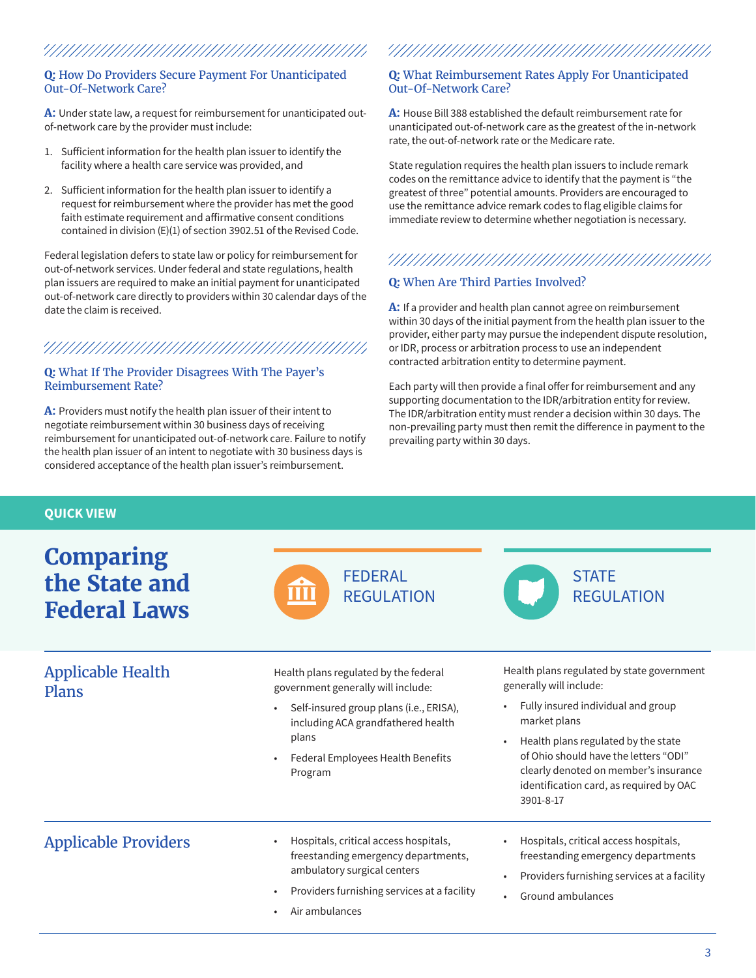### 

#### **Q:** How Do Providers Secure Payment For Unanticipated Out-Of-Network Care?

**A:** Under state law, a request for reimbursement for unanticipated outof-network care by the provider must include:

- 1. Sufficient information for the health plan issuer to identify the facility where a health care service was provided, and
- 2. Sufficient information for the health plan issuer to identify a request for reimbursement where the provider has met the good faith estimate requirement and affirmative consent conditions contained in division (E)(1) of section 3902.51 of the Revised Code.

Federal legislation defers to state law or policy for reimbursement for out-of-network services. Under federal and state regulations, health plan issuers are required to make an initial payment for unanticipated out-of-network care directly to providers within 30 calendar days of the date the claim is received.

# 

#### **Q:** What If The Provider Disagrees With The Payer's Reimbursement Rate?

**A:** Providers must notify the health plan issuer of their intent to negotiate reimbursement within 30 business days of receiving reimbursement for unanticipated out-of-network care. Failure to notify the health plan issuer of an intent to negotiate with 30 business days is considered acceptance of the health plan issuer's reimbursement.

#### 

#### **Q:** What Reimbursement Rates Apply For Unanticipated Out-Of-Network Care?

**A:** House Bill 388 established the default reimbursement rate for unanticipated out-of-network care as the greatest of the in-network rate, the out-of-network rate or the Medicare rate.

State regulation requires the health plan issuers to include remark codes on the remittance advice to identify that the payment is "the greatest of three" potential amounts. Providers are encouraged to use the remittance advice remark codes to flag eligible claims for immediate review to determine whether negotiation is necessary.

# 

#### **Q:** When Are Third Parties Involved?

**A:** If a provider and health plan cannot agree on reimbursement within 30 days of the initial payment from the health plan issuer to the provider, either party may pursue the independent dispute resolution, or IDR, process or arbitration process to use an independent contracted arbitration entity to determine payment.

Each party will then provide a final offer for reimbursement and any supporting documentation to the IDR/arbitration entity for review. The IDR/arbitration entity must render a decision within 30 days. The non-prevailing party must then remit the difference in payment to the prevailing party within 30 days.

#### **QUICK VIEW**

| <b>Comparing</b><br>the State and<br><b>Federal Laws</b> | <b>FEDERAL</b><br><b>REGULATION</b>                                                                                                                                                                                                             | <b>STATE</b><br><b>REGULATION</b>                                                                                                                                                                                                                                                                            |  |
|----------------------------------------------------------|-------------------------------------------------------------------------------------------------------------------------------------------------------------------------------------------------------------------------------------------------|--------------------------------------------------------------------------------------------------------------------------------------------------------------------------------------------------------------------------------------------------------------------------------------------------------------|--|
| <b>Applicable Health</b><br>Plans                        | Health plans regulated by the federal<br>government generally will include:<br>Self-insured group plans (i.e., ERISA),<br>$\bullet$<br>including ACA grandfathered health<br>plans<br>Federal Employees Health Benefits<br>$\bullet$<br>Program | Health plans regulated by state government<br>generally will include:<br>Fully insured individual and group<br>market plans<br>Health plans regulated by the state<br>of Ohio should have the letters "ODI"<br>clearly denoted on member's insurance<br>identification card, as required by OAC<br>3901-8-17 |  |
| <b>Applicable Providers</b>                              | Hospitals, critical access hospitals,<br>$\bullet$<br>freestanding emergency departments,<br>ambulatory surgical centers<br>Providers furnishing services at a facility<br>$\bullet$<br>Air ambulances<br>٠                                     | Hospitals, critical access hospitals,<br>freestanding emergency departments<br>Providers furnishing services at a facility<br>Ground ambulances                                                                                                                                                              |  |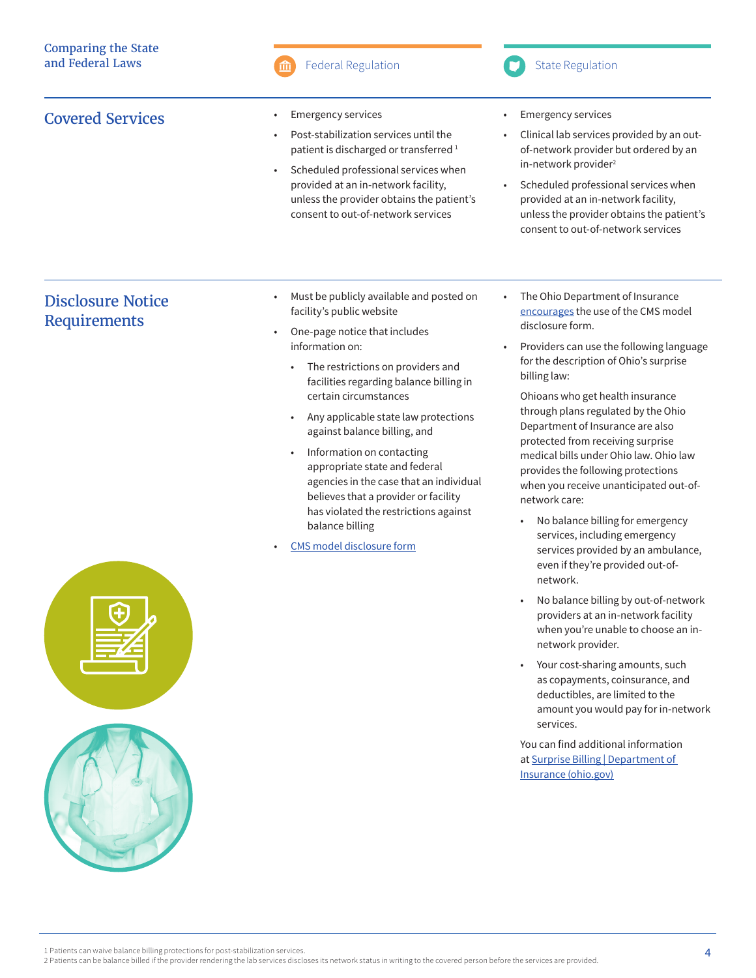# Covered Services • Emergency services





- 
- Post-stabilization services until the patient is discharged or transferred<sup>1</sup>
- Scheduled professional services when provided at an in-network facility, unless the provider obtains the patient's consent to out-of-network services
- **Emergency services**
- Clinical lab services provided by an outof-network provider but ordered by an in-network provider<sup>2</sup>
- Scheduled professional services when provided at an in-network facility, unless the provider obtains the patient's consent to out-of-network services

## Disclosure Notice Requirements

- Must be publicly available and posted on facility's public website
- One-page notice that includes information on:
	- The restrictions on providers and facilities regarding balance billing in certain circumstances
	- Any applicable state law protections against balance billing, and
	- Information on contacting appropriate state and federal agencies in the case that an individual believes that a provider or facility has violated the restrictions against balance billing
- CMS model disclosure form
- The Ohio Department of Insurance encourages the use of the CMS model disclosure form.
- Providers can use the following language for the description of Ohio's surprise billing law:

Ohioans who get health insurance through plans regulated by the Ohio Department of Insurance are also protected from receiving surprise medical bills under Ohio law. Ohio law provides the following protections when you receive unanticipated out-ofnetwork care:

- No balance billing for emergency services, including emergency services provided by an ambulance, even if they're provided out-ofnetwork.
- No balance billing by out-of-network providers at an in-network facility when you're unable to choose an innetwork provider.
- Your cost-sharing amounts, such as copayments, coinsurance, and deductibles, are limited to the amount you would pay for in-network services.

You can find additional information at Surprise Billing | Department of Insurance (ohio.gov)

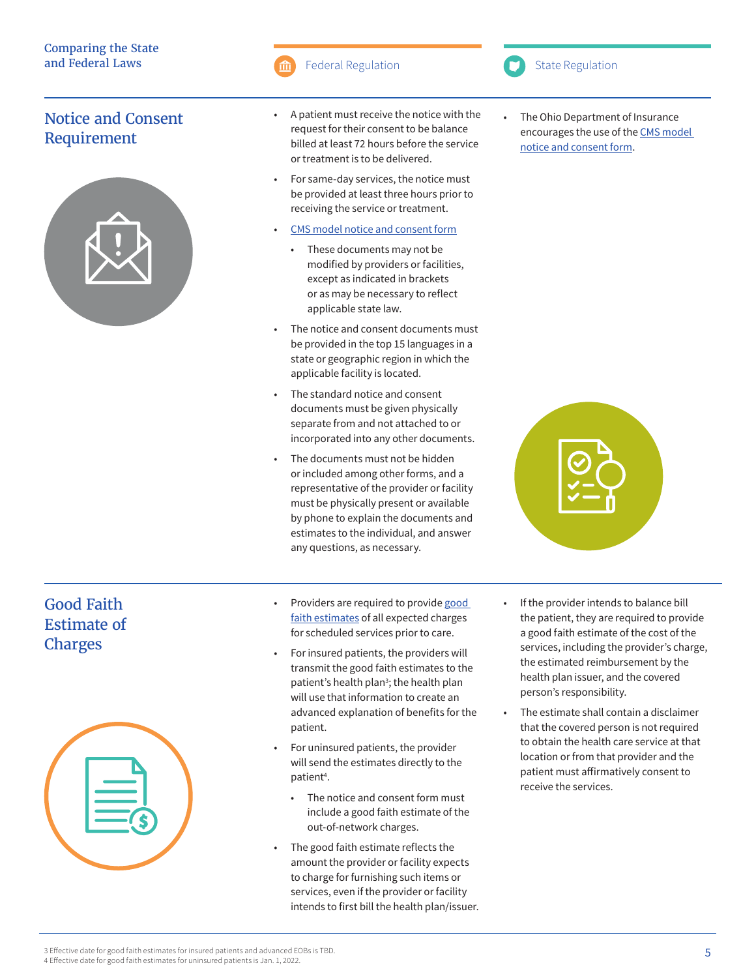#### Comparing the State and Federal Laws

# Notice and Consent Requirement



• A patient must receive the notice with the request for their consent to be balance

or treatment is to be delivered.

• For same-day services, the notice must be provided at least three hours prior to receiving the service or treatment.

billed at least 72 hours before the service

Federal Regulation **State Regulation** State Regulation

- CMS model notice and consent form
	- These documents may not be modified by providers or facilities, except as indicated in brackets or as may be necessary to reflect applicable state law.
- The notice and consent documents must be provided in the top 15 languages in a state or geographic region in which the applicable facility is located.
- The standard notice and consent documents must be given physically separate from and not attached to or incorporated into any other documents.
- The documents must not be hidden or included among other forms, and a representative of the provider or facility must be physically present or available by phone to explain the documents and estimates to the individual, and answer any questions, as necessary.

The Ohio Department of Insurance encourages the use of the CMS model notice and consent form.



# Good Faith Estimate of **Charges**

| $\Omega$ |
|----------|
|          |

- Providers are required to provide good faith estimates of all expected charges for scheduled services prior to care.
- For insured patients, the providers will transmit the good faith estimates to the patient's health plan<sup>3</sup>; the health plan will use that information to create an advanced explanation of benefits for the patient.
- For uninsured patients, the provider will send the estimates directly to the patient<sup>4</sup>.
	- The notice and consent form must include a good faith estimate of the out-of-network charges.
- The good faith estimate reflects the amount the provider or facility expects to charge for furnishing such items or services, even if the provider or facility intends to first bill the health plan/issuer.
- If the provider intends to balance bill the patient, they are required to provide a good faith estimate of the cost of the services, including the provider's charge, the estimated reimbursement by the health plan issuer, and the covered person's responsibility.
- The estimate shall contain a disclaimer that the covered person is not required to obtain the health care service at that location or from that provider and the patient must affirmatively consent to receive the services.